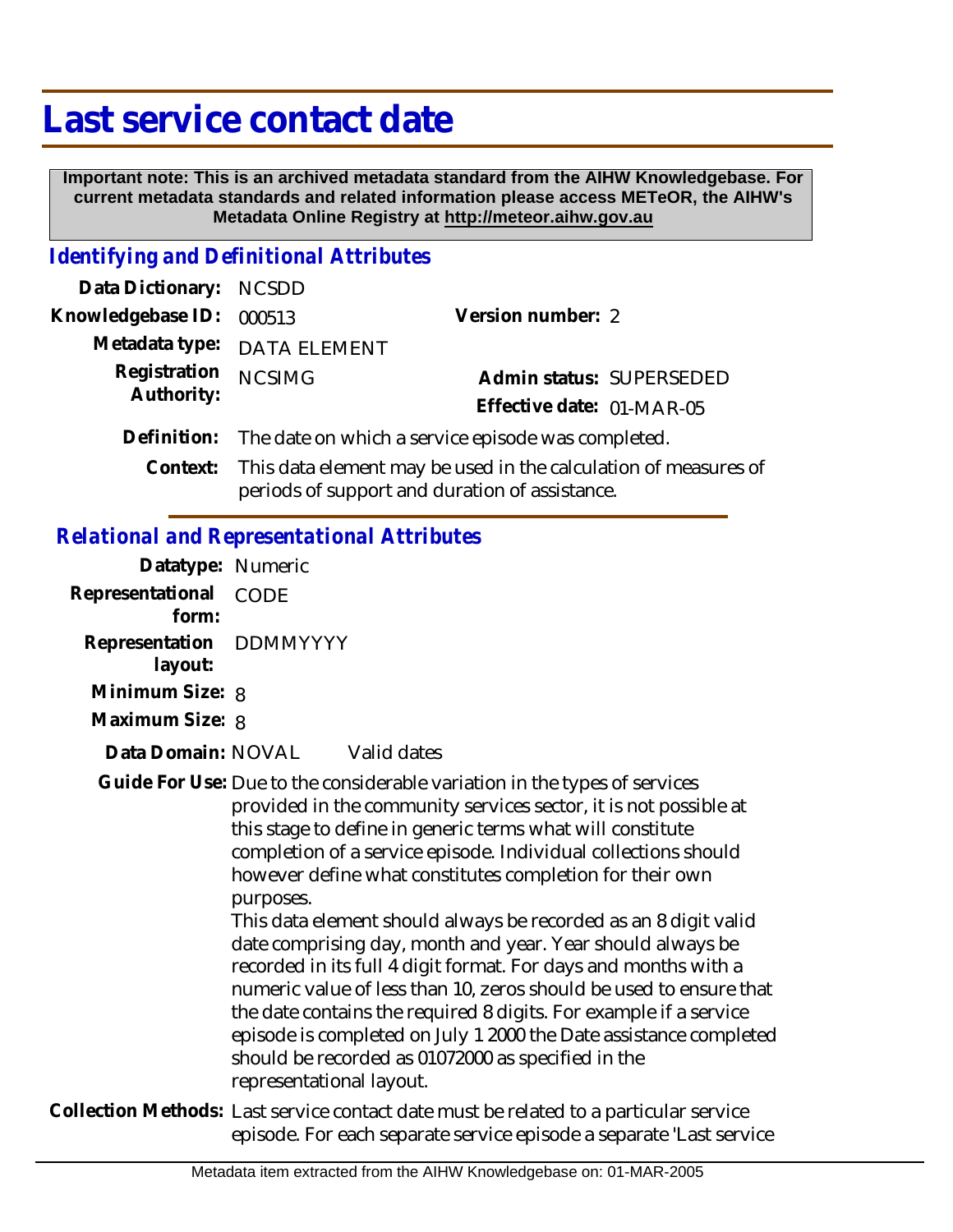# **Last service contact date**

 **Important note: This is an archived metadata standard from the AIHW Knowledgebase. For current metadata standards and related information please access METeOR, the AIHW's Metadata Online Registry at http://meteor.aihw.gov.au**

#### *Identifying and Definitional Attributes*

| Data Dictionary: NCSDD |                                                                                                                            |                           |
|------------------------|----------------------------------------------------------------------------------------------------------------------------|---------------------------|
| Knowledgebase ID:      | 000513                                                                                                                     | Version number: 2         |
|                        | Metadata type: DATA ELEMENT                                                                                                |                           |
| Registration           | <b>NCSIMG</b>                                                                                                              | Admin status: SUPERSEDED  |
| Authority:             |                                                                                                                            | Effective date: 01-MAR-05 |
|                        | Definition: The date on which a service episode was completed.                                                             |                           |
|                        | Context: This data element may be used in the calculation of measures of<br>periods of support and duration of assistance. |                           |

#### *Relational and Representational Attributes*

| Datatype: Numeric         |                                                                                                                                                                                                                                                                                                                                                                                                                                                                                                                                                                                                                                                                                                                                                                                                                                                              |  |
|---------------------------|--------------------------------------------------------------------------------------------------------------------------------------------------------------------------------------------------------------------------------------------------------------------------------------------------------------------------------------------------------------------------------------------------------------------------------------------------------------------------------------------------------------------------------------------------------------------------------------------------------------------------------------------------------------------------------------------------------------------------------------------------------------------------------------------------------------------------------------------------------------|--|
| Representational<br>form: | <b>CODE</b>                                                                                                                                                                                                                                                                                                                                                                                                                                                                                                                                                                                                                                                                                                                                                                                                                                                  |  |
| Representation<br>layout: | DDMMYYYY                                                                                                                                                                                                                                                                                                                                                                                                                                                                                                                                                                                                                                                                                                                                                                                                                                                     |  |
| Minimum Size: 8           |                                                                                                                                                                                                                                                                                                                                                                                                                                                                                                                                                                                                                                                                                                                                                                                                                                                              |  |
| Maximum Size: 8           |                                                                                                                                                                                                                                                                                                                                                                                                                                                                                                                                                                                                                                                                                                                                                                                                                                                              |  |
| Data Domain: NOVAL        | Valid dates                                                                                                                                                                                                                                                                                                                                                                                                                                                                                                                                                                                                                                                                                                                                                                                                                                                  |  |
|                           | Guide For Use: Due to the considerable variation in the types of services<br>provided in the community services sector, it is not possible at<br>this stage to define in generic terms what will constitute<br>completion of a service episode. Individual collections should<br>however define what constitutes completion for their own<br>purposes.<br>This data element should always be recorded as an 8 digit valid<br>date comprising day, month and year. Year should always be<br>recorded in its full 4 digit format. For days and months with a<br>numeric value of less than 10, zeros should be used to ensure that<br>the date contains the required 8 digits. For example if a service<br>episode is completed on July 1 2000 the Date assistance completed<br>should be recorded as 01072000 as specified in the<br>representational layout. |  |
|                           | Collection Methods: Last service contact date must be related to a particular service<br>episode. For each separate service episode a separate 'Last service                                                                                                                                                                                                                                                                                                                                                                                                                                                                                                                                                                                                                                                                                                 |  |